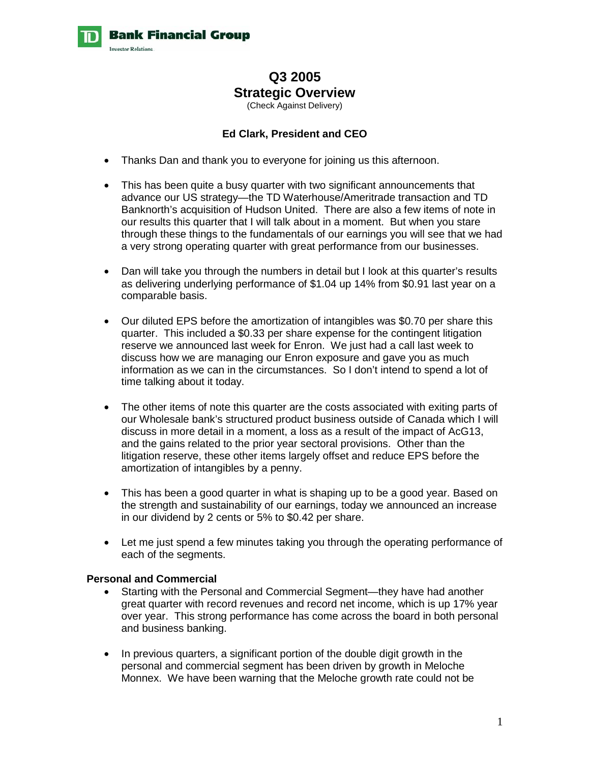

**Bank Financial Group** 



# **Q3 2005 Strategic Overview**  (Check Against Delivery)

## **Ed Clark, President and CEO**

- Thanks Dan and thank you to everyone for joining us this afternoon.
- This has been quite a busy quarter with two significant announcements that advance our US strategy—the TD Waterhouse/Ameritrade transaction and TD Banknorth's acquisition of Hudson United. There are also a few items of note in our results this quarter that I will talk about in a moment. But when you stare through these things to the fundamentals of our earnings you will see that we had a very strong operating quarter with great performance from our businesses.
- Dan will take you through the numbers in detail but I look at this quarter's results as delivering underlying performance of \$1.04 up 14% from \$0.91 last year on a comparable basis.
- Our diluted EPS before the amortization of intangibles was \$0.70 per share this quarter. This included a \$0.33 per share expense for the contingent litigation reserve we announced last week for Enron. We just had a call last week to discuss how we are managing our Enron exposure and gave you as much information as we can in the circumstances. So I don't intend to spend a lot of time talking about it today.
- The other items of note this quarter are the costs associated with exiting parts of our Wholesale bank's structured product business outside of Canada which I will discuss in more detail in a moment, a loss as a result of the impact of AcG13, and the gains related to the prior year sectoral provisions. Other than the litigation reserve, these other items largely offset and reduce EPS before the amortization of intangibles by a penny.
- This has been a good quarter in what is shaping up to be a good year. Based on the strength and sustainability of our earnings, today we announced an increase in our dividend by 2 cents or 5% to \$0.42 per share.
- Let me just spend a few minutes taking you through the operating performance of each of the segments.

## **Personal and Commercial**

- Starting with the Personal and Commercial Segment—they have had another great quarter with record revenues and record net income, which is up 17% year over year. This strong performance has come across the board in both personal and business banking.
- In previous quarters, a significant portion of the double digit growth in the personal and commercial segment has been driven by growth in Meloche Monnex. We have been warning that the Meloche growth rate could not be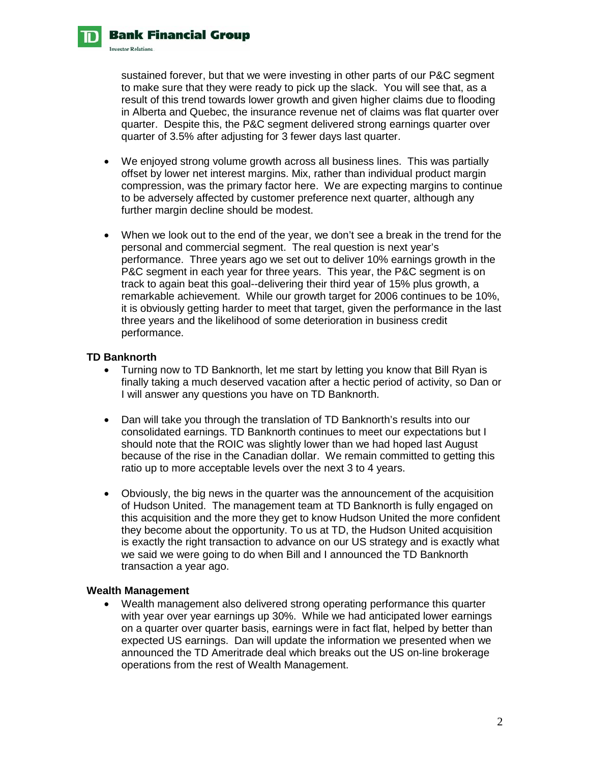sustained forever, but that we were investing in other parts of our P&C segment to make sure that they were ready to pick up the slack. You will see that, as a result of this trend towards lower growth and given higher claims due to flooding in Alberta and Quebec, the insurance revenue net of claims was flat quarter over quarter. Despite this, the P&C segment delivered strong earnings quarter over quarter of 3.5% after adjusting for 3 fewer days last quarter.

- We enjoyed strong volume growth across all business lines. This was partially offset by lower net interest margins. Mix, rather than individual product margin compression, was the primary factor here. We are expecting margins to continue to be adversely affected by customer preference next quarter, although any further margin decline should be modest.
- When we look out to the end of the year, we don't see a break in the trend for the personal and commercial segment. The real question is next year's performance. Three years ago we set out to deliver 10% earnings growth in the P&C segment in each year for three years. This year, the P&C segment is on track to again beat this goal--delivering their third year of 15% plus growth, a remarkable achievement. While our growth target for 2006 continues to be 10%, it is obviously getting harder to meet that target, given the performance in the last three years and the likelihood of some deterioration in business credit performance.

## **TD Banknorth**

**Bank Financial Group** 

**Investor Relations** 

- Turning now to TD Banknorth, let me start by letting you know that Bill Ryan is finally taking a much deserved vacation after a hectic period of activity, so Dan or I will answer any questions you have on TD Banknorth.
- Dan will take you through the translation of TD Banknorth's results into our consolidated earnings. TD Banknorth continues to meet our expectations but I should note that the ROIC was slightly lower than we had hoped last August because of the rise in the Canadian dollar. We remain committed to getting this ratio up to more acceptable levels over the next 3 to 4 years.
- Obviously, the big news in the quarter was the announcement of the acquisition of Hudson United. The management team at TD Banknorth is fully engaged on this acquisition and the more they get to know Hudson United the more confident they become about the opportunity. To us at TD, the Hudson United acquisition is exactly the right transaction to advance on our US strategy and is exactly what we said we were going to do when Bill and I announced the TD Banknorth transaction a year ago.

#### **Wealth Management**

• Wealth management also delivered strong operating performance this quarter with year over year earnings up 30%. While we had anticipated lower earnings on a quarter over quarter basis, earnings were in fact flat, helped by better than expected US earnings. Dan will update the information we presented when we announced the TD Ameritrade deal which breaks out the US on-line brokerage operations from the rest of Wealth Management.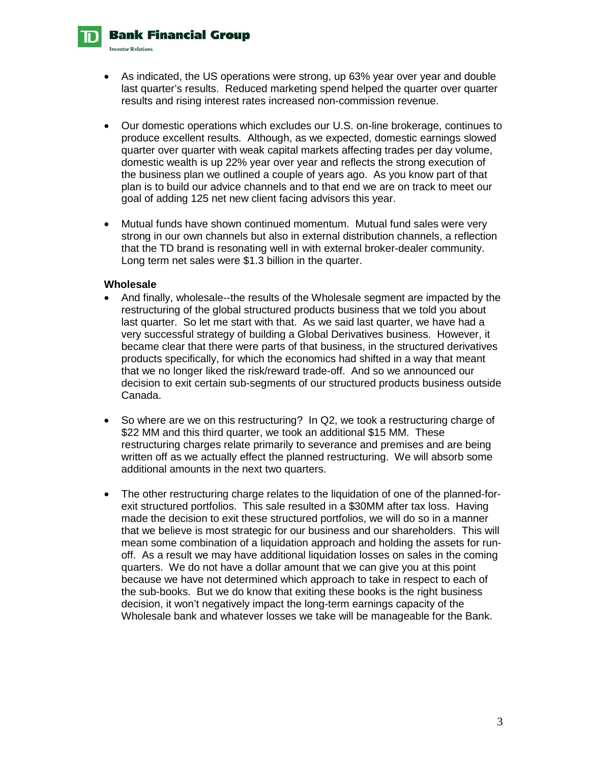**Bank Financial Group** 



**Investor Relations** 

- As indicated, the US operations were strong, up 63% year over year and double last quarter's results. Reduced marketing spend helped the quarter over quarter results and rising interest rates increased non-commission revenue.
- Our domestic operations which excludes our U.S. on-line brokerage, continues to produce excellent results. Although, as we expected, domestic earnings slowed quarter over quarter with weak capital markets affecting trades per day volume, domestic wealth is up 22% year over year and reflects the strong execution of the business plan we outlined a couple of years ago. As you know part of that plan is to build our advice channels and to that end we are on track to meet our goal of adding 125 net new client facing advisors this year.
- Mutual funds have shown continued momentum. Mutual fund sales were very strong in our own channels but also in external distribution channels, a reflection that the TD brand is resonating well in with external broker-dealer community. Long term net sales were \$1.3 billion in the quarter.

#### **Wholesale**

- And finally, wholesale--the results of the Wholesale segment are impacted by the restructuring of the global structured products business that we told you about last quarter. So let me start with that. As we said last quarter, we have had a very successful strategy of building a Global Derivatives business. However, it became clear that there were parts of that business, in the structured derivatives products specifically, for which the economics had shifted in a way that meant that we no longer liked the risk/reward trade-off. And so we announced our decision to exit certain sub-segments of our structured products business outside Canada.
- So where are we on this restructuring? In Q2, we took a restructuring charge of \$22 MM and this third quarter, we took an additional \$15 MM. These restructuring charges relate primarily to severance and premises and are being written off as we actually effect the planned restructuring. We will absorb some additional amounts in the next two quarters.
- The other restructuring charge relates to the liquidation of one of the planned-forexit structured portfolios. This sale resulted in a \$30MM after tax loss. Having made the decision to exit these structured portfolios, we will do so in a manner that we believe is most strategic for our business and our shareholders. This will mean some combination of a liquidation approach and holding the assets for runoff. As a result we may have additional liquidation losses on sales in the coming quarters. We do not have a dollar amount that we can give you at this point because we have not determined which approach to take in respect to each of the sub-books. But we do know that exiting these books is the right business decision, it won't negatively impact the long-term earnings capacity of the Wholesale bank and whatever losses we take will be manageable for the Bank.